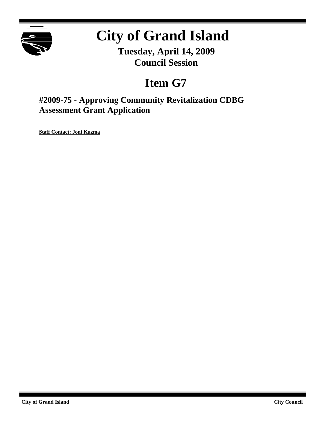

## **City of Grand Island**

**Tuesday, April 14, 2009 Council Session**

## **Item G7**

**#2009-75 - Approving Community Revitalization CDBG Assessment Grant Application**

**Staff Contact: Joni Kuzma**